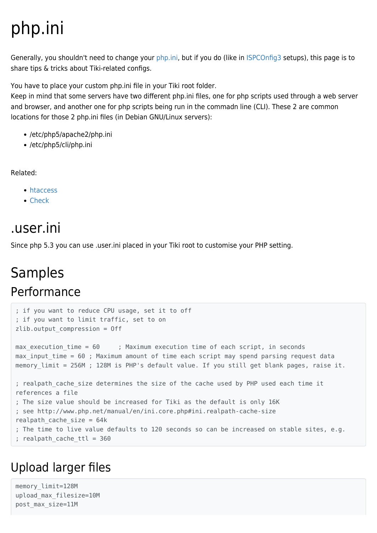# php.ini

Generally, you shouldn't need to change your [php.ini,](http://www.google.com/search?q=php.ini) but if you do (like in [ISPCOnfig3](https://doc.tiki.org/ISPCOnfig3) setups), this page is to share tips & tricks about Tiki-related configs.

You have to place your custom php.ini file in your Tiki root folder.

Keep in mind that some servers have two different php.ini files, one for php scripts used through a web server and browser, and another one for php scripts being run in the commadn line (CLI). These 2 are common locations for those 2 php.ini files (in Debian GNU/Linux servers):

- /etc/php5/apache2/php.ini
- /etc/php5/cli/php.ini

Related:

- [htaccess](https://doc.tiki.org/htaccess)
- [Check](https://doc.tiki.org/Check)

# .user.ini

Since php 5.3 you can use .user.ini placed in your Tiki root to customise your PHP setting.

## Samples Performance

```
; if you want to reduce CPU usage, set it to off
; if you want to limit traffic, set to on
zlib.output_compression = Off
max execution time = 60 ; Maximum execution time of each script, in seconds
max input time = 60 ; Maximum amount of time each script may spend parsing request data
memory limit = 256M ; 128M is PHP's default value. If you still get blank pages, raise it.
; realpath cache size determines the size of the cache used by PHP used each time it
references a file
; The size value should be increased for Tiki as the default is only 16K
; see http://www.php.net/manual/en/ini.core.php#ini.realpath-cache-size
realpath cache size = 64k; The time to live value defaults to 120 seconds so can be increased on stable sites, e.g.
; realpath_cache_ttl = 360
```
## Upload larger files

memory\_limit=128M upload\_max\_filesize=10M post\_max\_size=11M